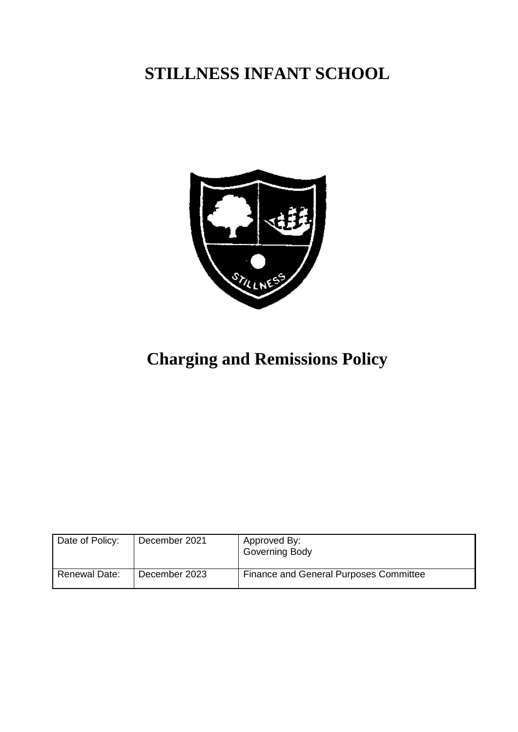## **STILLNESS INFANT SCHOOL**



# **Charging and Remissions Policy**

| Date of Policy:      | December 2021 | Approved By:<br>Governing Body                |
|----------------------|---------------|-----------------------------------------------|
| <b>Renewal Date:</b> | December 2023 | <b>Finance and General Purposes Committee</b> |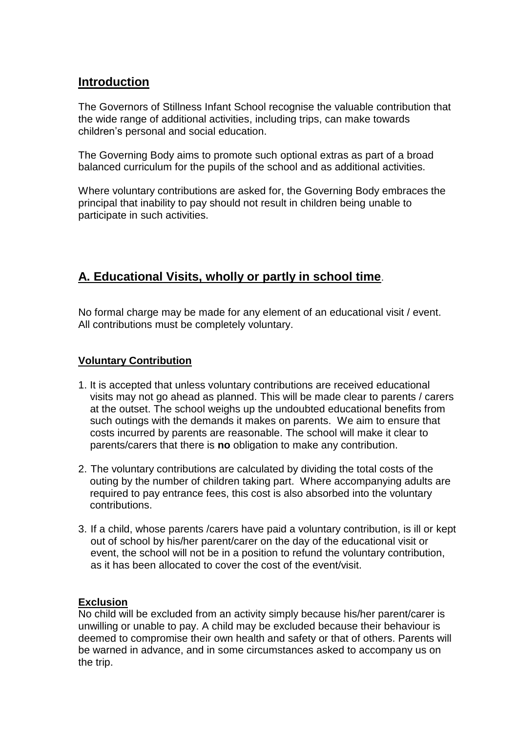### **Introduction**

The Governors of Stillness Infant School recognise the valuable contribution that the wide range of additional activities, including trips, can make towards children's personal and social education.

The Governing Body aims to promote such optional extras as part of a broad balanced curriculum for the pupils of the school and as additional activities.

Where voluntary contributions are asked for, the Governing Body embraces the principal that inability to pay should not result in children being unable to participate in such activities.

## **A. Educational Visits, wholly or partly in school time**.

No formal charge may be made for any element of an educational visit / event. All contributions must be completely voluntary.

#### **Voluntary Contribution**

- 1. It is accepted that unless voluntary contributions are received educational visits may not go ahead as planned. This will be made clear to parents / carers at the outset. The school weighs up the undoubted educational benefits from such outings with the demands it makes on parents. We aim to ensure that costs incurred by parents are reasonable. The school will make it clear to parents/carers that there is **no** obligation to make any contribution.
- 2. The voluntary contributions are calculated by dividing the total costs of the outing by the number of children taking part. Where accompanying adults are required to pay entrance fees, this cost is also absorbed into the voluntary contributions.
- 3. If a child, whose parents /carers have paid a voluntary contribution, is ill or kept out of school by his/her parent/carer on the day of the educational visit or event, the school will not be in a position to refund the voluntary contribution, as it has been allocated to cover the cost of the event/visit.

#### **Exclusion**

No child will be excluded from an activity simply because his/her parent/carer is unwilling or unable to pay. A child may be excluded because their behaviour is deemed to compromise their own health and safety or that of others. Parents will be warned in advance, and in some circumstances asked to accompany us on the trip.